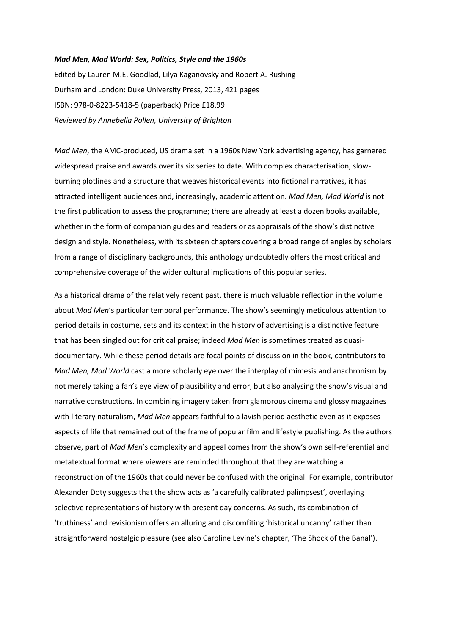## *Mad Men, Mad World: Sex, Politics, Style and the 1960s*

Edited by Lauren M.E. Goodlad, Lilya Kaganovsky and Robert A. Rushing Durham and London: Duke University Press, 2013, 421 pages ISBN: 978-0-8223-5418-5 (paperback) Price £18.99 *Reviewed by Annebella Pollen, University of Brighton*

*Mad Men*, the AMC-produced, US drama set in a 1960s New York advertising agency, has garnered widespread praise and awards over its six series to date. With complex characterisation, slowburning plotlines and a structure that weaves historical events into fictional narratives, it has attracted intelligent audiences and, increasingly, academic attention. *Mad Men, Mad World* is not the first publication to assess the programme; there are already at least a dozen books available, whether in the form of companion guides and readers or as appraisals of the show's distinctive design and style. Nonetheless, with its sixteen chapters covering a broad range of angles by scholars from a range of disciplinary backgrounds, this anthology undoubtedly offers the most critical and comprehensive coverage of the wider cultural implications of this popular series.

As a historical drama of the relatively recent past, there is much valuable reflection in the volume about *Mad Men*'s particular temporal performance. The show's seemingly meticulous attention to period details in costume, sets and its context in the history of advertising is a distinctive feature that has been singled out for critical praise; indeed *Mad Men* is sometimes treated as quasidocumentary. While these period details are focal points of discussion in the book, contributors to *Mad Men, Mad World* cast a more scholarly eye over the interplay of mimesis and anachronism by not merely taking a fan's eye view of plausibility and error, but also analysing the show's visual and narrative constructions. In combining imagery taken from glamorous cinema and glossy magazines with literary naturalism, *Mad Men* appears faithful to a lavish period aesthetic even as it exposes aspects of life that remained out of the frame of popular film and lifestyle publishing. As the authors observe, part of *Mad Men*'s complexity and appeal comes from the show's own self-referential and metatextual format where viewers are reminded throughout that they are watching a reconstruction of the 1960s that could never be confused with the original. For example, contributor Alexander Doty suggests that the show acts as 'a carefully calibrated palimpsest', overlaying selective representations of history with present day concerns. As such, its combination of 'truthiness' and revisionism offers an alluring and discomfiting 'historical uncanny' rather than straightforward nostalgic pleasure (see also Caroline Levine's chapter, 'The Shock of the Banal').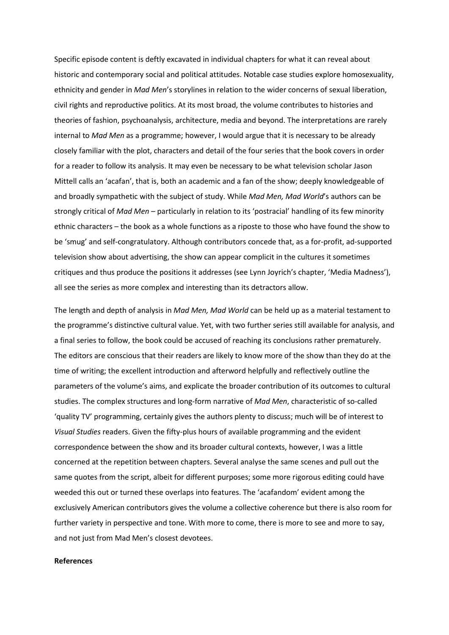Specific episode content is deftly excavated in individual chapters for what it can reveal about historic and contemporary social and political attitudes. Notable case studies explore homosexuality, ethnicity and gender in *Mad Men*'s storylines in relation to the wider concerns of sexual liberation, civil rights and reproductive politics. At its most broad, the volume contributes to histories and theories of fashion, psychoanalysis, architecture, media and beyond. The interpretations are rarely internal to *Mad Men* as a programme; however, I would argue that it is necessary to be already closely familiar with the plot, characters and detail of the four series that the book covers in order for a reader to follow its analysis. It may even be necessary to be what television scholar Jason Mittell calls an 'acafan', that is, both an academic and a fan of the show; deeply knowledgeable of and broadly sympathetic with the subject of study. While *Mad Men, Mad World*'s authors can be strongly critical of *Mad Men* – particularly in relation to its 'postracial' handling of its few minority ethnic characters – the book as a whole functions as a riposte to those who have found the show to be 'smug' and self-congratulatory. Although contributors concede that, as a for-profit, ad-supported television show about advertising, the show can appear complicit in the cultures it sometimes critiques and thus produce the positions it addresses (see Lynn Joyrich's chapter, 'Media Madness'), all see the series as more complex and interesting than its detractors allow.

The length and depth of analysis in *Mad Men, Mad World* can be held up as a material testament to the programme's distinctive cultural value. Yet, with two further series still available for analysis, and a final series to follow, the book could be accused of reaching its conclusions rather prematurely. The editors are conscious that their readers are likely to know more of the show than they do at the time of writing; the excellent introduction and afterword helpfully and reflectively outline the parameters of the volume's aims, and explicate the broader contribution of its outcomes to cultural studies. The complex structures and long-form narrative of *Mad Men*, characteristic of so-called 'quality TV' programming, certainly gives the authors plenty to discuss; much will be of interest to *Visual Studies* readers. Given the fifty-plus hours of available programming and the evident correspondence between the show and its broader cultural contexts, however, I was a little concerned at the repetition between chapters. Several analyse the same scenes and pull out the same quotes from the script, albeit for different purposes; some more rigorous editing could have weeded this out or turned these overlaps into features. The 'acafandom' evident among the exclusively American contributors gives the volume a collective coherence but there is also room for further variety in perspective and tone. With more to come, there is more to see and more to say, and not just from Mad Men's closest devotees.

## **References**